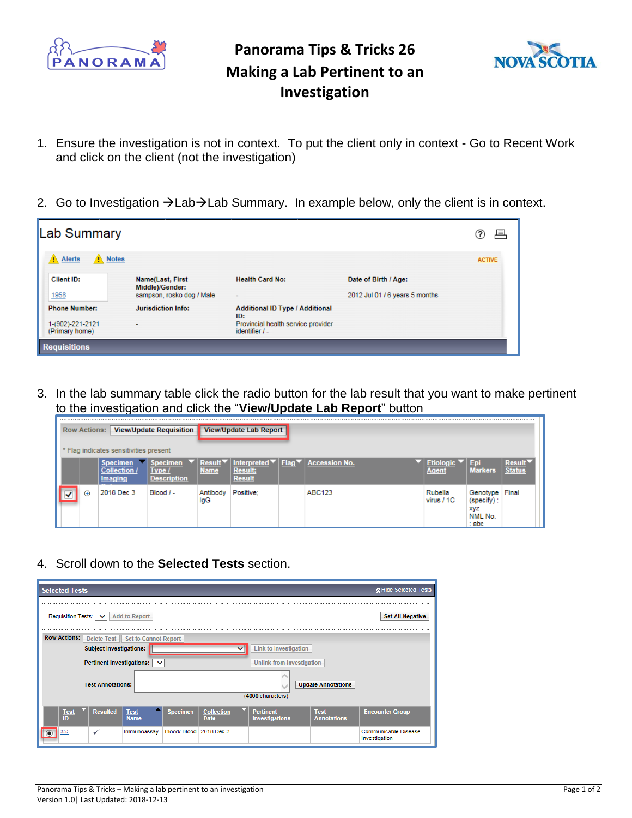

## **Panorama Tips & Tricks 26 Making a Lab Pertinent to an Investigation**



- 1. Ensure the investigation is not in context. To put the client only in context Go to Recent Work and click on the client (not the investigation)
- 2. Go to Investigation →Lab→Lab Summary. In example below, only the client is in context.

| Lab Summary                        |                                                                         |                                                      |                                                        | 戶<br>?        |
|------------------------------------|-------------------------------------------------------------------------|------------------------------------------------------|--------------------------------------------------------|---------------|
| Notes<br>Alerts                    |                                                                         |                                                      |                                                        | <b>ACTIVE</b> |
| Client ID:<br>1958                 | <b>Name(Last, First</b><br>Middle)/Gender:<br>sampson, rosko dog / Male | <b>Health Card No:</b>                               | Date of Birth / Age:<br>2012 Jul 01 / 6 years 5 months |               |
| <b>Phone Number:</b>               | <b>Jurisdiction Info:</b>                                               | <b>Additional ID Type / Additional</b><br>ID:        |                                                        |               |
| 1-(902)-221-2121<br>(Primary home) |                                                                         | Provincial health service provider<br>identifier / - |                                                        |               |
| <b>Requisitions</b>                |                                                                         |                                                      |                                                        |               |

3. In the lab summary table click the radio button for the lab result that you want to make pertinent to the investigation and click the "**View/Update Lab Report**" button

|   | View/Update Lab Report<br>View/Update Requisition<br><b>Row Actions:</b> |                                                          |                                                 |                              |                                                                           |  |                      |                                  |                                                      |                         |
|---|--------------------------------------------------------------------------|----------------------------------------------------------|-------------------------------------------------|------------------------------|---------------------------------------------------------------------------|--|----------------------|----------------------------------|------------------------------------------------------|-------------------------|
|   | * Flag indicates sensitivities present                                   |                                                          |                                                 |                              |                                                                           |  |                      |                                  |                                                      |                         |
|   |                                                                          | <b>Specimen</b><br><b>Collection /</b><br><b>Imaging</b> | <b>Specimen</b><br>Type /<br><b>Description</b> | <b>Result</b><br><b>Name</b> | Interpreted $\nabla$   Flag $\nabla$  <br><b>Result:</b><br><b>Result</b> |  | <b>Accession No.</b> | <b>Etiologic</b><br><b>Agent</b> | Epi<br><b>Markers</b>                                | Result<br><b>Status</b> |
| √ | $\oplus$                                                                 | 2018 Dec 3                                               | $Blood / -$                                     | Antibody<br>lgG              | Positive:                                                                 |  | <b>ABC123</b>        | Rubella<br>virus / 1C            | Genotype<br>$(specify)$ :<br>xyz<br>NML No.<br>: abc | Final                   |

4. Scroll down to the **Selected Tests** section.

| <b>Selected Tests</b>                                                                                                                                                                                | ☆ Hide Selected Tests                 |  |  |  |  |  |  |  |  |  |  |
|------------------------------------------------------------------------------------------------------------------------------------------------------------------------------------------------------|---------------------------------------|--|--|--|--|--|--|--|--|--|--|
|                                                                                                                                                                                                      |                                       |  |  |  |  |  |  |  |  |  |  |
| <b>Add to Report</b><br>Requisition Tests: $ v $                                                                                                                                                     | <b>Set All Negative</b>               |  |  |  |  |  |  |  |  |  |  |
| <br><b>Row Actions:</b><br>Delete Test   Set to Cannot Report                                                                                                                                        |                                       |  |  |  |  |  |  |  |  |  |  |
| <b>Subject Investigations:</b><br><b>Link to Investigation</b>                                                                                                                                       |                                       |  |  |  |  |  |  |  |  |  |  |
| Pertinent Investigations: $\vee$<br><b>Unlink from Investigation</b>                                                                                                                                 |                                       |  |  |  |  |  |  |  |  |  |  |
| <b>Update Annotations</b><br><b>Test Annotations:</b>                                                                                                                                                |                                       |  |  |  |  |  |  |  |  |  |  |
| (4000 characters)                                                                                                                                                                                    |                                       |  |  |  |  |  |  |  |  |  |  |
| <b>Resulted</b><br>$Test\nID$<br><b>Specimen</b><br><b>Test</b><br><b>Collection</b><br><b>Pertinent</b><br><b>Test</b><br><b>Investigations</b><br><b>Annotations</b><br><b>Name</b><br><b>Date</b> | <b>Encounter Group</b>                |  |  |  |  |  |  |  |  |  |  |
| Blood/Blood 2018 Dec 3<br>355<br>Immunoassay<br>$\checkmark$                                                                                                                                         | Communicable Disease<br>Investigation |  |  |  |  |  |  |  |  |  |  |